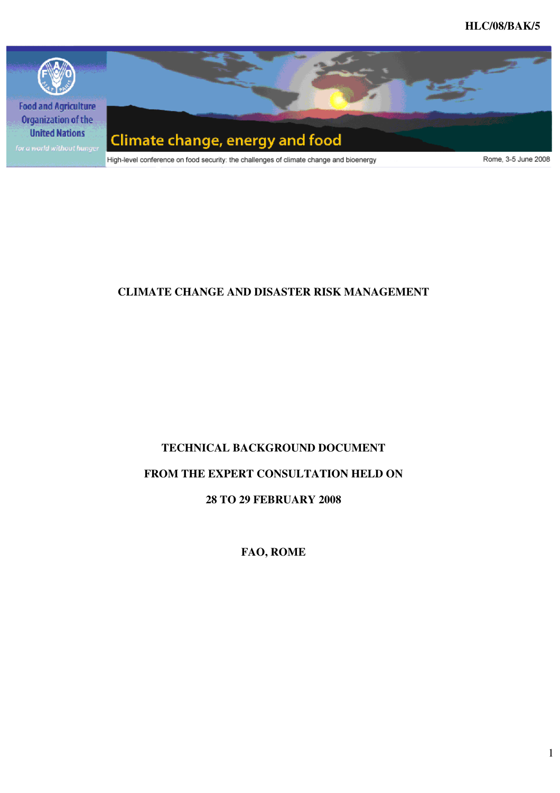

# **CLIMATE CHANGE AND DISASTER RISK MANAGEMENT**

# **TECHNICAL BACKGROUND DOCUMENT**

# **FROM THE EXPERT CONSULTATION HELD ON**

## **28 TO 29 FEBRUARY 2008**

**FAO, ROME**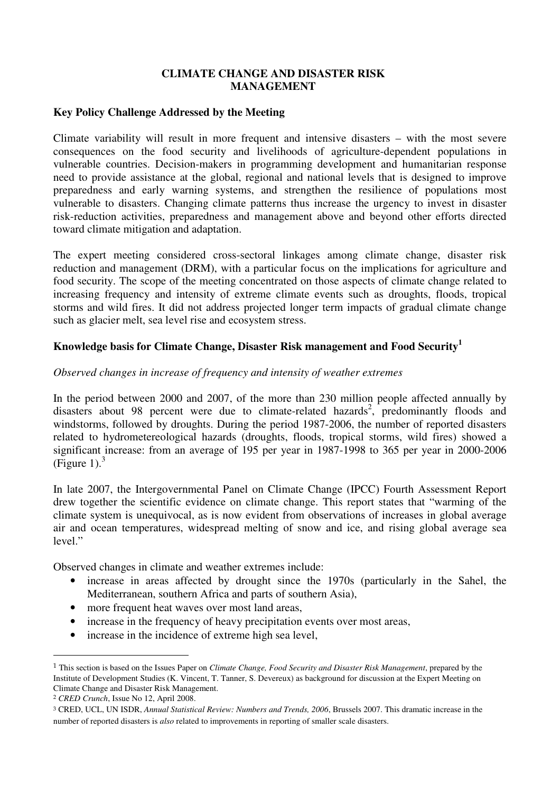#### **CLIMATE CHANGE AND DISASTER RISK MANAGEMENT**

#### **Key Policy Challenge Addressed by the Meeting**

Climate variability will result in more frequent and intensive disasters – with the most severe consequences on the food security and livelihoods of agriculture-dependent populations in vulnerable countries. Decision-makers in programming development and humanitarian response need to provide assistance at the global, regional and national levels that is designed to improve preparedness and early warning systems, and strengthen the resilience of populations most vulnerable to disasters. Changing climate patterns thus increase the urgency to invest in disaster risk-reduction activities, preparedness and management above and beyond other efforts directed toward climate mitigation and adaptation.

The expert meeting considered cross-sectoral linkages among climate change, disaster risk reduction and management (DRM), with a particular focus on the implications for agriculture and food security. The scope of the meeting concentrated on those aspects of climate change related to increasing frequency and intensity of extreme climate events such as droughts, floods, tropical storms and wild fires. It did not address projected longer term impacts of gradual climate change such as glacier melt, sea level rise and ecosystem stress.

#### **Knowledge basis for Climate Change, Disaster Risk management and Food Security<sup>1</sup>**

#### *Observed changes in increase of frequency and intensity of weather extremes*

In the period between 2000 and 2007, of the more than 230 million people affected annually by disasters about 98 percent were due to climate-related hazards<sup>2</sup>, predominantly floods and windstorms, followed by droughts. During the period 1987-2006, the number of reported disasters related to hydrometereological hazards (droughts, floods, tropical storms, wild fires) showed a significant increase: from an average of 195 per year in 1987-1998 to 365 per year in 2000-2006 (Figure 1). $3<sup>3</sup>$ 

In late 2007, the Intergovernmental Panel on Climate Change (IPCC) Fourth Assessment Report drew together the scientific evidence on climate change. This report states that "warming of the climate system is unequivocal, as is now evident from observations of increases in global average air and ocean temperatures, widespread melting of snow and ice, and rising global average sea level."

Observed changes in climate and weather extremes include:

- increase in areas affected by drought since the 1970s (particularly in the Sahel, the Mediterranean, southern Africa and parts of southern Asia),
- more frequent heat waves over most land areas,
- increase in the frequency of heavy precipitation events over most areas,
- increase in the incidence of extreme high sea level,

<sup>1</sup> This section is based on the Issues Paper on *Climate Change, Food Security and Disaster Risk Management*, prepared by the Institute of Development Studies (K. Vincent, T. Tanner, S. Devereux) as background for discussion at the Expert Meeting on Climate Change and Disaster Risk Management.

<sup>2</sup> *CRED Crunch*, Issue No 12, April 2008.

<sup>3</sup> CRED, UCL, UN ISDR, *Annual Statistical Review: Numbers and Trends, 2006*, Brussels 2007. This dramatic increase in the number of reported disasters is *also* related to improvements in reporting of smaller scale disasters.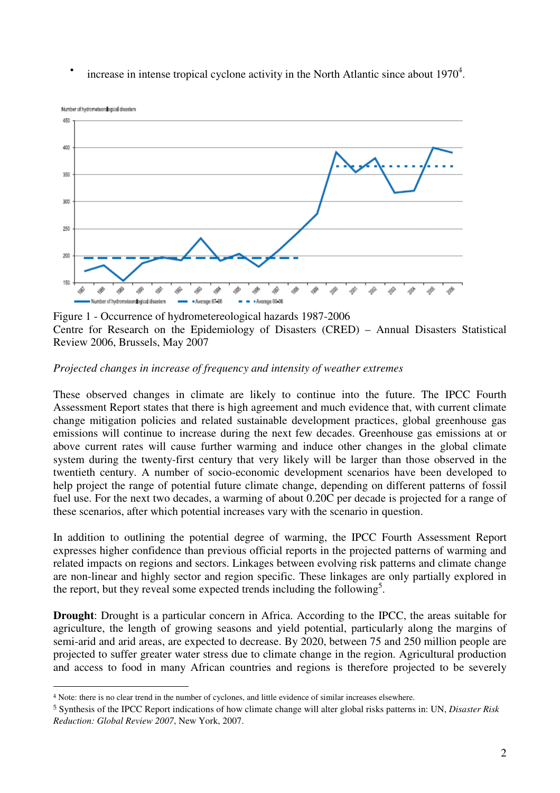• increase in intense tropical cyclone activity in the North Atlantic since about  $1970^4$ .



Figure 1 - Occurrence of hydrometereological hazards 1987-2006 Centre for Research on the Epidemiology of Disasters (CRED) – Annual Disasters Statistical Review 2006, Brussels, May 2007

## *Projected changes in increase of frequency and intensity of weather extremes*

These observed changes in climate are likely to continue into the future. The IPCC Fourth Assessment Report states that there is high agreement and much evidence that, with current climate change mitigation policies and related sustainable development practices, global greenhouse gas emissions will continue to increase during the next few decades. Greenhouse gas emissions at or above current rates will cause further warming and induce other changes in the global climate system during the twenty-first century that very likely will be larger than those observed in the twentieth century. A number of socio-economic development scenarios have been developed to help project the range of potential future climate change, depending on different patterns of fossil fuel use. For the next two decades, a warming of about 0.20C per decade is projected for a range of these scenarios, after which potential increases vary with the scenario in question.

In addition to outlining the potential degree of warming, the IPCC Fourth Assessment Report expresses higher confidence than previous official reports in the projected patterns of warming and related impacts on regions and sectors. Linkages between evolving risk patterns and climate change are non-linear and highly sector and region specific. These linkages are only partially explored in the report, but they reveal some expected trends including the following<sup>5</sup>.

**Drought**: Drought is a particular concern in Africa. According to the IPCC, the areas suitable for agriculture, the length of growing seasons and yield potential, particularly along the margins of semi-arid and arid areas, are expected to decrease. By 2020, between 75 and 250 million people are projected to suffer greater water stress due to climate change in the region. Agricultural production and access to food in many African countries and regions is therefore projected to be severely

<sup>4</sup> Note: there is no clear trend in the number of cyclones, and little evidence of similar increases elsewhere.

<sup>5</sup> Synthesis of the IPCC Report indications of how climate change will alter global risks patterns in: UN, *Disaster Risk Reduction: Global Review 2007*, New York, 2007.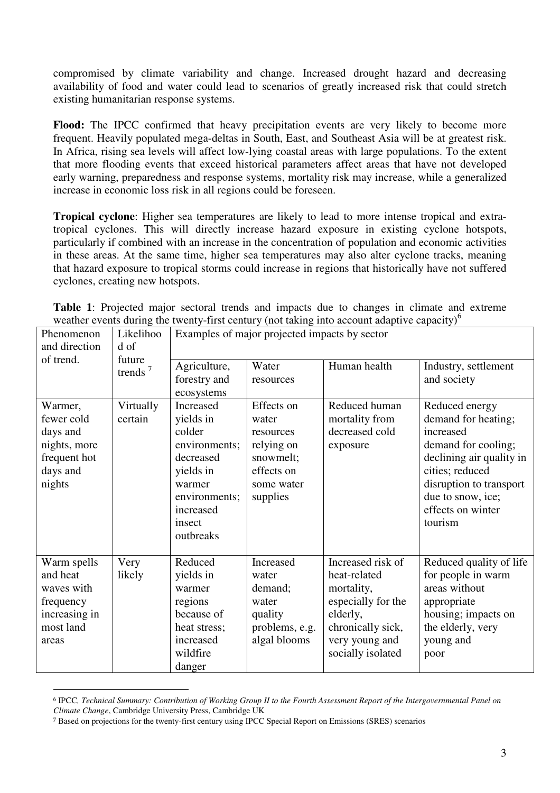compromised by climate variability and change. Increased drought hazard and decreasing availability of food and water could lead to scenarios of greatly increased risk that could stretch existing humanitarian response systems.

**Flood:** The IPCC confirmed that heavy precipitation events are very likely to become more frequent. Heavily populated mega-deltas in South, East, and Southeast Asia will be at greatest risk. In Africa, rising sea levels will affect low-lying coastal areas with large populations. To the extent that more flooding events that exceed historical parameters affect areas that have not developed early warning, preparedness and response systems, mortality risk may increase, while a generalized increase in economic loss risk in all regions could be foreseen.

**Tropical cyclone**: Higher sea temperatures are likely to lead to more intense tropical and extratropical cyclones. This will directly increase hazard exposure in existing cyclone hotspots, particularly if combined with an increase in the concentration of population and economic activities in these areas. At the same time, higher sea temperatures may also alter cyclone tracks, meaning that hazard exposure to tropical storms could increase in regions that historically have not suffered cyclones, creating new hotspots.

| weather events during the twenty-first century (not taking into account adaptive capacity) <sup>6</sup> |  | <b>Table 1:</b> Projected major sectoral trends and impacts due to changes in climate and extreme |  |  |  |  |  |  |
|---------------------------------------------------------------------------------------------------------|--|---------------------------------------------------------------------------------------------------|--|--|--|--|--|--|
|                                                                                                         |  |                                                                                                   |  |  |  |  |  |  |

| Phenomenon<br>and direction                                                               | Likelihoo<br>d of<br>future<br>trends <sup><math>7</math></sup> | Examples of major projected impacts by sector                                                                                              |                                                                                                     |                                                                                                                                               |                                                                                                                                                                                                          |  |  |  |
|-------------------------------------------------------------------------------------------|-----------------------------------------------------------------|--------------------------------------------------------------------------------------------------------------------------------------------|-----------------------------------------------------------------------------------------------------|-----------------------------------------------------------------------------------------------------------------------------------------------|----------------------------------------------------------------------------------------------------------------------------------------------------------------------------------------------------------|--|--|--|
| of trend.                                                                                 |                                                                 | Agriculture,<br>forestry and<br>ecosystems                                                                                                 | Water<br>resources                                                                                  | Human health                                                                                                                                  | Industry, settlement<br>and society                                                                                                                                                                      |  |  |  |
| Warmer,<br>fewer cold<br>days and<br>nights, more<br>frequent hot<br>days and<br>nights   | Virtually<br>certain                                            | Increased<br>yields in<br>colder<br>environments;<br>decreased<br>yields in<br>warmer<br>environments;<br>increased<br>insect<br>outbreaks | Effects on<br>water<br>resources<br>relying on<br>snowmelt;<br>effects on<br>some water<br>supplies | Reduced human<br>mortality from<br>decreased cold<br>exposure                                                                                 | Reduced energy<br>demand for heating;<br>increased<br>demand for cooling;<br>declining air quality in<br>cities; reduced<br>disruption to transport<br>due to snow, ice;<br>effects on winter<br>tourism |  |  |  |
| Warm spells<br>and heat<br>waves with<br>frequency<br>increasing in<br>most land<br>areas | Very<br>likely                                                  | Reduced<br>yields in<br>warmer<br>regions<br>because of<br>heat stress;<br>increased<br>wildfire<br>danger                                 | Increased<br>water<br>demand;<br>water<br>quality<br>problems, e.g.<br>algal blooms                 | Increased risk of<br>heat-related<br>mortality,<br>especially for the<br>elderly,<br>chronically sick,<br>very young and<br>socially isolated | Reduced quality of life<br>for people in warm<br>areas without<br>appropriate<br>housing; impacts on<br>the elderly, very<br>young and<br>poor                                                           |  |  |  |

<sup>6</sup> IPCC*, Technical Summary: Contribution of Working Group II to the Fourth Assessment Report of the Intergovernmental Panel on Climate Change*, Cambridge University Press, Cambridge UK

<sup>7</sup> Based on projections for the twenty-first century using IPCC Special Report on Emissions (SRES) scenarios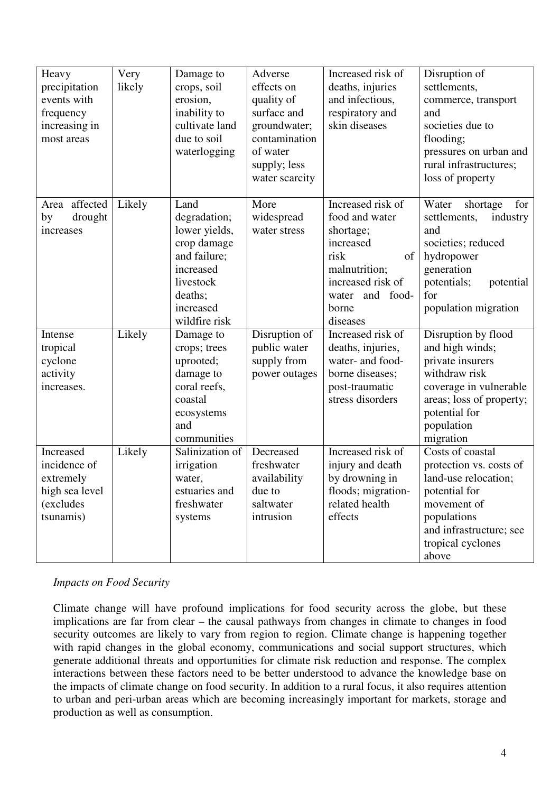| Heavy<br>precipitation<br>events with<br>frequency<br>increasing in<br>most areas  | Very<br>likely | Damage to<br>crops, soil<br>erosion,<br>inability to<br>cultivate land<br>due to soil<br>waterlogging                                   | Adverse<br>effects on<br>quality of<br>surface and<br>groundwater;<br>contamination<br>of water<br>supply; less<br>water scarcity | Increased risk of<br>deaths, injuries<br>and infectious,<br>respiratory and<br>skin diseases                                                              | Disruption of<br>settlements,<br>commerce, transport<br>and<br>societies due to<br>flooding;<br>pressures on urban and<br>rural infrastructures;<br>loss of property          |
|------------------------------------------------------------------------------------|----------------|-----------------------------------------------------------------------------------------------------------------------------------------|-----------------------------------------------------------------------------------------------------------------------------------|-----------------------------------------------------------------------------------------------------------------------------------------------------------|-------------------------------------------------------------------------------------------------------------------------------------------------------------------------------|
| Area affected<br>drought<br>by<br>increases                                        | Likely         | Land<br>degradation;<br>lower yields,<br>crop damage<br>and failure;<br>increased<br>livestock<br>deaths;<br>increased<br>wildfire risk | More<br>widespread<br>water stress                                                                                                | Increased risk of<br>food and water<br>shortage;<br>increased<br>risk<br>of<br>malnutrition;<br>increased risk of<br>water and food-<br>borne<br>diseases | Water<br>shortage<br>for<br>settlements,<br>industry<br>and<br>societies; reduced<br>hydropower<br>generation<br>potentials;<br>potential<br>for<br>population migration      |
| Intense<br>tropical<br>cyclone<br>activity<br>increases.                           | Likely         | Damage to<br>crops; trees<br>uprooted;<br>damage to<br>coral reefs,<br>coastal<br>ecosystems<br>and<br>communities                      | Disruption of<br>public water<br>supply from<br>power outages                                                                     | Increased risk of<br>deaths, injuries,<br>water- and food-<br>borne diseases;<br>post-traumatic<br>stress disorders                                       | Disruption by flood<br>and high winds;<br>private insurers<br>withdraw risk<br>coverage in vulnerable<br>areas; loss of property;<br>potential for<br>population<br>migration |
| Increased<br>incidence of<br>extremely<br>high sea level<br>(excludes<br>tsunamis) | Likely         | Salinization of<br>irrigation<br>water,<br>estuaries and<br>freshwater<br>systems                                                       | Decreased<br>freshwater<br>availability<br>due to<br>saltwater<br>intrusion                                                       | Increased risk of<br>injury and death<br>by drowning in<br>floods; migration-<br>related health<br>effects                                                | Costs of coastal<br>protection vs. costs of<br>land-use relocation;<br>potential for<br>movement of<br>populations<br>and infrastructure; see<br>tropical cyclones<br>above   |

#### *Impacts on Food Security*

Climate change will have profound implications for food security across the globe, but these implications are far from clear – the causal pathways from changes in climate to changes in food security outcomes are likely to vary from region to region. Climate change is happening together with rapid changes in the global economy, communications and social support structures, which generate additional threats and opportunities for climate risk reduction and response. The complex interactions between these factors need to be better understood to advance the knowledge base on the impacts of climate change on food security. In addition to a rural focus, it also requires attention to urban and peri-urban areas which are becoming increasingly important for markets, storage and production as well as consumption.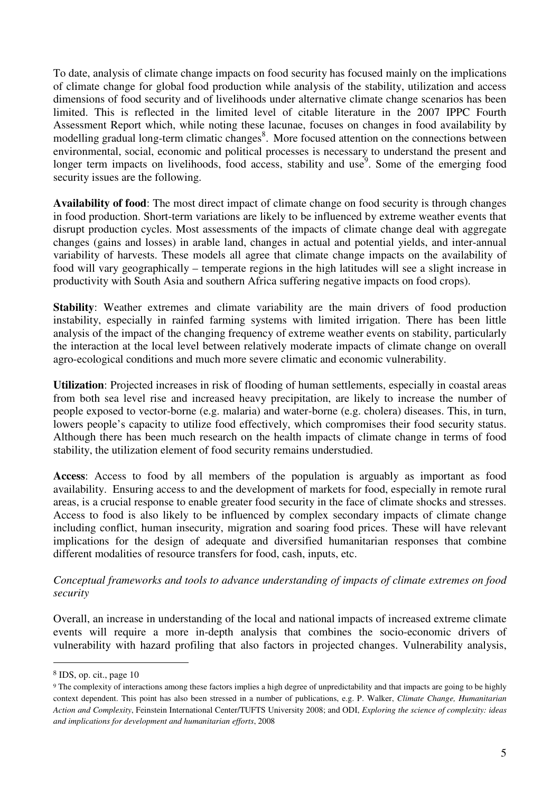To date, analysis of climate change impacts on food security has focused mainly on the implications of climate change for global food production while analysis of the stability, utilization and access dimensions of food security and of livelihoods under alternative climate change scenarios has been limited. This is reflected in the limited level of citable literature in the 2007 IPPC Fourth Assessment Report which, while noting these lacunae, focuses on changes in food availability by modelling gradual long-term climatic changes<sup>8</sup>. More focused attention on the connections between environmental, social, economic and political processes is necessary to understand the present and longer term impacts on livelihoods, food access, stability and use<sup>9</sup>. Some of the emerging food security issues are the following.

**Availability of food**: The most direct impact of climate change on food security is through changes in food production. Short-term variations are likely to be influenced by extreme weather events that disrupt production cycles. Most assessments of the impacts of climate change deal with aggregate changes (gains and losses) in arable land, changes in actual and potential yields, and inter-annual variability of harvests. These models all agree that climate change impacts on the availability of food will vary geographically – temperate regions in the high latitudes will see a slight increase in productivity with South Asia and southern Africa suffering negative impacts on food crops).

**Stability**: Weather extremes and climate variability are the main drivers of food production instability, especially in rainfed farming systems with limited irrigation. There has been little analysis of the impact of the changing frequency of extreme weather events on stability, particularly the interaction at the local level between relatively moderate impacts of climate change on overall agro-ecological conditions and much more severe climatic and economic vulnerability.

**Utilization**: Projected increases in risk of flooding of human settlements, especially in coastal areas from both sea level rise and increased heavy precipitation, are likely to increase the number of people exposed to vector-borne (e.g. malaria) and water-borne (e.g. cholera) diseases. This, in turn, lowers people's capacity to utilize food effectively, which compromises their food security status. Although there has been much research on the health impacts of climate change in terms of food stability, the utilization element of food security remains understudied.

**Access**: Access to food by all members of the population is arguably as important as food availability. Ensuring access to and the development of markets for food, especially in remote rural areas, is a crucial response to enable greater food security in the face of climate shocks and stresses. Access to food is also likely to be influenced by complex secondary impacts of climate change including conflict, human insecurity, migration and soaring food prices. These will have relevant implications for the design of adequate and diversified humanitarian responses that combine different modalities of resource transfers for food, cash, inputs, etc.

*Conceptual frameworks and tools to advance understanding of impacts of climate extremes on food security* 

Overall, an increase in understanding of the local and national impacts of increased extreme climate events will require a more in-depth analysis that combines the socio-economic drivers of vulnerability with hazard profiling that also factors in projected changes. Vulnerability analysis,

<sup>8</sup> IDS, op. cit., page 10

<sup>9</sup> The complexity of interactions among these factors implies a high degree of unpredictability and that impacts are going to be highly context dependent. This point has also been stressed in a number of publications, e.g. P. Walker, *Climate Change, Humanitarian Action and Complexity*, Feinstein International Center/TUFTS University 2008; and ODI, *Exploring the science of complexity: ideas and implications for development and humanitarian efforts*, 2008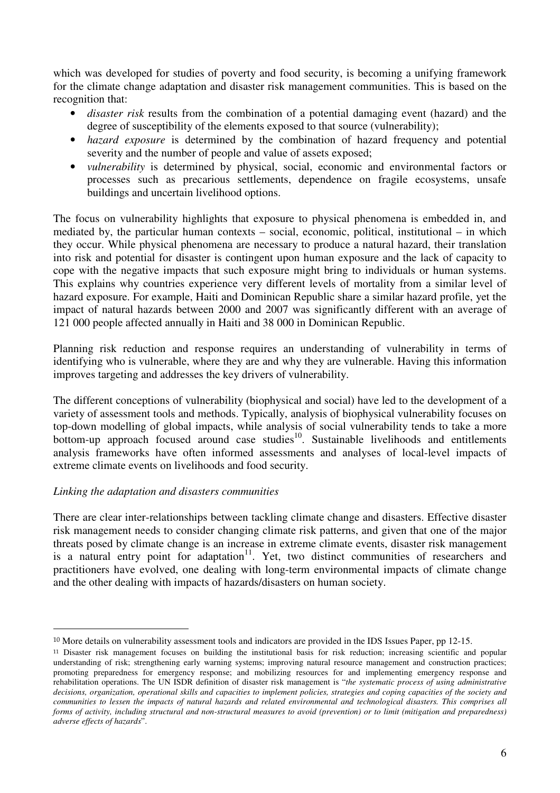which was developed for studies of poverty and food security, is becoming a unifying framework for the climate change adaptation and disaster risk management communities. This is based on the recognition that:

- *disaster risk* results from the combination of a potential damaging event (hazard) and the degree of susceptibility of the elements exposed to that source (vulnerability);
- *hazard exposure* is determined by the combination of hazard frequency and potential severity and the number of people and value of assets exposed;
- *vulnerability* is determined by physical, social, economic and environmental factors or processes such as precarious settlements, dependence on fragile ecosystems, unsafe buildings and uncertain livelihood options.

The focus on vulnerability highlights that exposure to physical phenomena is embedded in, and mediated by, the particular human contexts – social, economic, political, institutional – in which they occur. While physical phenomena are necessary to produce a natural hazard, their translation into risk and potential for disaster is contingent upon human exposure and the lack of capacity to cope with the negative impacts that such exposure might bring to individuals or human systems. This explains why countries experience very different levels of mortality from a similar level of hazard exposure. For example, Haiti and Dominican Republic share a similar hazard profile, yet the impact of natural hazards between 2000 and 2007 was significantly different with an average of 121 000 people affected annually in Haiti and 38 000 in Dominican Republic.

Planning risk reduction and response requires an understanding of vulnerability in terms of identifying who is vulnerable, where they are and why they are vulnerable. Having this information improves targeting and addresses the key drivers of vulnerability.

The different conceptions of vulnerability (biophysical and social) have led to the development of a variety of assessment tools and methods. Typically, analysis of biophysical vulnerability focuses on top-down modelling of global impacts, while analysis of social vulnerability tends to take a more bottom-up approach focused around case studies<sup>10</sup>. Sustainable livelihoods and entitlements analysis frameworks have often informed assessments and analyses of local-level impacts of extreme climate events on livelihoods and food security.

## *Linking the adaptation and disasters communities*

 $\overline{a}$ 

There are clear inter-relationships between tackling climate change and disasters. Effective disaster risk management needs to consider changing climate risk patterns, and given that one of the major threats posed by climate change is an increase in extreme climate events, disaster risk management is a natural entry point for adaptation $11$ . Yet, two distinct communities of researchers and practitioners have evolved, one dealing with long-term environmental impacts of climate change and the other dealing with impacts of hazards/disasters on human society.

<sup>&</sup>lt;sup>10</sup> More details on vulnerability assessment tools and indicators are provided in the IDS Issues Paper, pp 12-15.

<sup>11</sup> Disaster risk management focuses on building the institutional basis for risk reduction; increasing scientific and popular understanding of risk; strengthening early warning systems; improving natural resource management and construction practices; promoting preparedness for emergency response; and mobilizing resources for and implementing emergency response and rehabilitation operations. The UN ISDR definition of disaster risk management is "*the systematic process of using administrative decisions, organization, operational skills and capacities to implement policies, strategies and coping capacities of the society and communities to lessen the impacts of natural hazards and related environmental and technological disasters. This comprises all forms of activity, including structural and non-structural measures to avoid (prevention) or to limit (mitigation and preparedness) adverse effects of hazards*".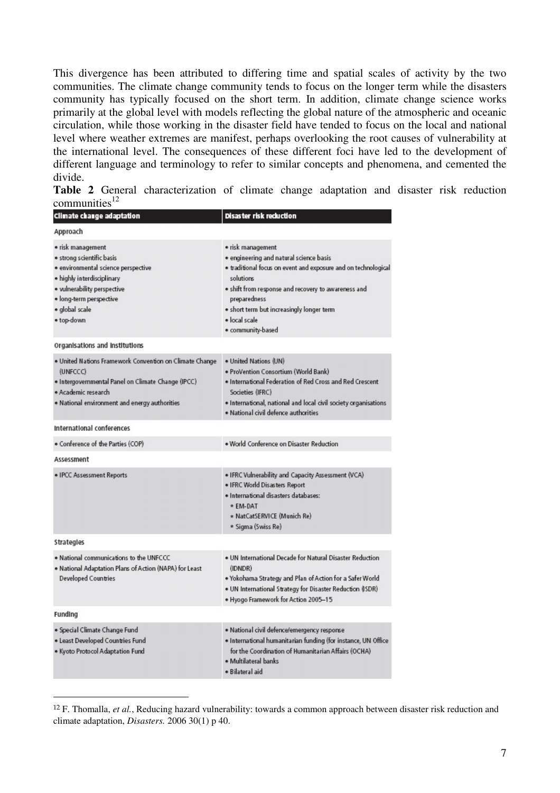This divergence has been attributed to differing time and spatial scales of activity by the two communities. The climate change community tends to focus on the longer term while the disasters community has typically focused on the short term. In addition, climate change science works primarily at the global level with models reflecting the global nature of the atmospheric and oceanic circulation, while those working in the disaster field have tended to focus on the local and national level where weather extremes are manifest, perhaps overlooking the root causes of vulnerability at the international level. The consequences of these different foci have led to the development of different language and terminology to refer to similar concepts and phenomena, and cemented the divide.

**Table 2** General characterization of climate change adaptation and disaster risk reduction communities $12$ 

| Climate change adaptation                                                                                                                                                                                     | Disaster risk reduction                                                                                                                                                                                                                                                                               |
|---------------------------------------------------------------------------------------------------------------------------------------------------------------------------------------------------------------|-------------------------------------------------------------------------------------------------------------------------------------------------------------------------------------------------------------------------------------------------------------------------------------------------------|
| Approach                                                                                                                                                                                                      |                                                                                                                                                                                                                                                                                                       |
| · risk management<br>· strong scientific basis<br>· environmental science perspective<br>· highly interdisciplinary<br>· vulnerability perspective<br>· long-term perspective<br>· global scale<br>· top-down | · risk management<br>· engineering and natural science basis<br>. traditional focus on event and exposure and on technological<br>solutions<br>. shift from response and recovery to awareness and<br>preparedness<br>· short term but increasingly longer term<br>· local scale<br>· community-based |
| Organisations and institutions                                                                                                                                                                                |                                                                                                                                                                                                                                                                                                       |
| . United Nations Framework Convention on Climate Change<br>(UNFCCC)<br>· Intergovernmental Panel on Climate Change (IPCC)<br>· Academic research<br>. National environment and energy authorities             | . United Nations (UN)<br>· ProVention Consortium (World Bank)<br>. International Federation of Red Cross and Red Crescent<br>Societies (IFRC)<br>. International, national and local civil society organisations<br>· National civil defence authorities                                              |
| International conferences                                                                                                                                                                                     |                                                                                                                                                                                                                                                                                                       |
| · Conference of the Parties (COP)                                                                                                                                                                             | . World Conference on Disaster Reduction                                                                                                                                                                                                                                                              |
| Assessment                                                                                                                                                                                                    |                                                                                                                                                                                                                                                                                                       |
| · IPCC Assessment Reports                                                                                                                                                                                     | . IFRC Vulnerability and Capacity Assessment (VCA)<br>· IFRC World Disasters Report<br>· International disasters databases:<br>* EM-DAT<br>* NatCatSERVICE (Munich Re)<br>* Sigma (Swiss Re)                                                                                                          |
| Strategles                                                                                                                                                                                                    |                                                                                                                                                                                                                                                                                                       |
| . National communications to the UNFCCC<br>. National Adaptation Plans of Action (NAPA) for Least<br><b>Developed Countries</b>                                                                               | . UN International Decade for Natural Disaster Reduction<br>(IDNDR)<br>. Yokohama Strategy and Plan of Action for a Safer World<br>. UN International Strategy for Disaster Reduction (ISDR)<br>. Hyogo Framework for Action 2005-15                                                                  |
| Funding                                                                                                                                                                                                       |                                                                                                                                                                                                                                                                                                       |
| · Special Climate Change Fund<br>· Least Developed Countries Fund<br>. Kyoto Protocol Adaptation Fund                                                                                                         | · National civil defence/emergency response<br>. International humanitarian funding (for instance, UN Office<br>for the Coordination of Humanitarian Affairs (OCHA)<br>· Multilateral banks<br>· Bilateral aid                                                                                        |

<sup>12</sup> F. Thomalla, *et al.*, Reducing hazard vulnerability: towards a common approach between disaster risk reduction and climate adaptation, *Disasters.* 2006 30(1) p 40.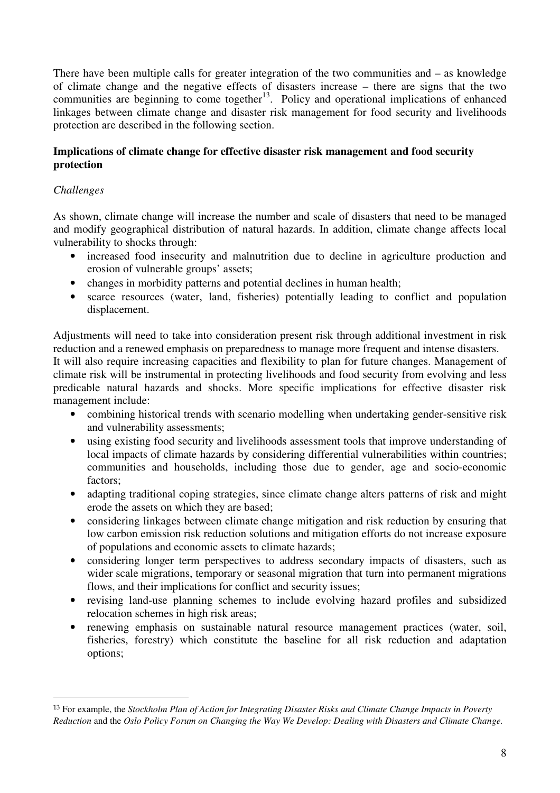There have been multiple calls for greater integration of the two communities and – as knowledge of climate change and the negative effects of disasters increase – there are signs that the two communities are beginning to come together<sup>13</sup>. Policy and operational implications of enhanced linkages between climate change and disaster risk management for food security and livelihoods protection are described in the following section.

#### **Implications of climate change for effective disaster risk management and food security protection**

## *Challenges*

 $\overline{a}$ 

As shown, climate change will increase the number and scale of disasters that need to be managed and modify geographical distribution of natural hazards. In addition, climate change affects local vulnerability to shocks through:

- increased food insecurity and malnutrition due to decline in agriculture production and erosion of vulnerable groups' assets;
- changes in morbidity patterns and potential declines in human health;
- scarce resources (water, land, fisheries) potentially leading to conflict and population displacement.

Adjustments will need to take into consideration present risk through additional investment in risk reduction and a renewed emphasis on preparedness to manage more frequent and intense disasters.

It will also require increasing capacities and flexibility to plan for future changes. Management of climate risk will be instrumental in protecting livelihoods and food security from evolving and less predicable natural hazards and shocks. More specific implications for effective disaster risk management include:

- combining historical trends with scenario modelling when undertaking gender-sensitive risk and vulnerability assessments;
- using existing food security and livelihoods assessment tools that improve understanding of local impacts of climate hazards by considering differential vulnerabilities within countries; communities and households, including those due to gender, age and socio-economic factors;
- adapting traditional coping strategies, since climate change alters patterns of risk and might erode the assets on which they are based;
- considering linkages between climate change mitigation and risk reduction by ensuring that low carbon emission risk reduction solutions and mitigation efforts do not increase exposure of populations and economic assets to climate hazards;
- considering longer term perspectives to address secondary impacts of disasters, such as wider scale migrations, temporary or seasonal migration that turn into permanent migrations flows, and their implications for conflict and security issues;
- revising land-use planning schemes to include evolving hazard profiles and subsidized relocation schemes in high risk areas;
- renewing emphasis on sustainable natural resource management practices (water, soil, fisheries, forestry) which constitute the baseline for all risk reduction and adaptation options;

<sup>13</sup> For example, the *Stockholm Plan of Action for Integrating Disaster Risks and Climate Change Impacts in Poverty Reduction* and the *Oslo Policy Forum on Changing the Way We Develop: Dealing with Disasters and Climate Change.*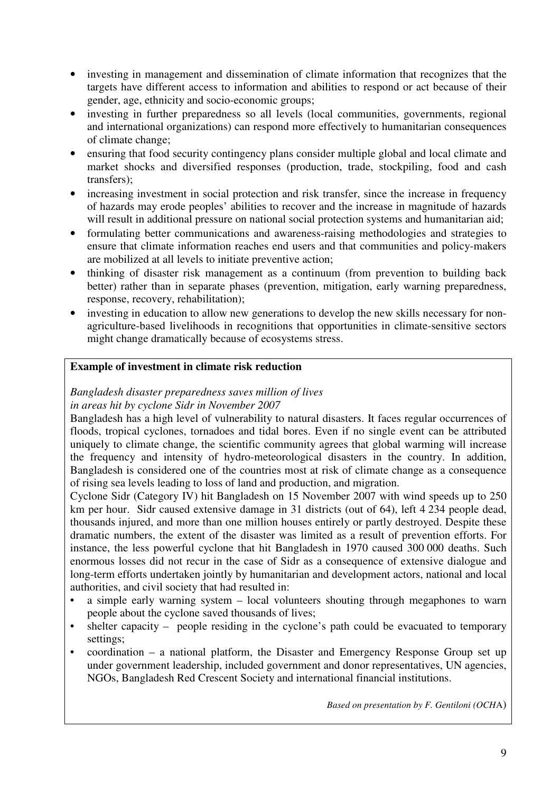- investing in management and dissemination of climate information that recognizes that the targets have different access to information and abilities to respond or act because of their gender, age, ethnicity and socio-economic groups;
- investing in further preparedness so all levels (local communities, governments, regional and international organizations) can respond more effectively to humanitarian consequences of climate change;
- ensuring that food security contingency plans consider multiple global and local climate and market shocks and diversified responses (production, trade, stockpiling, food and cash transfers);
- increasing investment in social protection and risk transfer, since the increase in frequency of hazards may erode peoples' abilities to recover and the increase in magnitude of hazards will result in additional pressure on national social protection systems and humanitarian aid;
- formulating better communications and awareness-raising methodologies and strategies to ensure that climate information reaches end users and that communities and policy-makers are mobilized at all levels to initiate preventive action;
- thinking of disaster risk management as a continuum (from prevention to building back better) rather than in separate phases (prevention, mitigation, early warning preparedness, response, recovery, rehabilitation);
- investing in education to allow new generations to develop the new skills necessary for nonagriculture-based livelihoods in recognitions that opportunities in climate-sensitive sectors might change dramatically because of ecosystems stress.

## **Example of investment in climate risk reduction**

# *Bangladesh disaster preparedness saves million of lives*

## *in areas hit by cyclone Sidr in November 2007*

Bangladesh has a high level of vulnerability to natural disasters. It faces regular occurrences of floods, tropical cyclones, tornadoes and tidal bores. Even if no single event can be attributed uniquely to climate change, the scientific community agrees that global warming will increase the frequency and intensity of hydro-meteorological disasters in the country. In addition, Bangladesh is considered one of the countries most at risk of climate change as a consequence of rising sea levels leading to loss of land and production, and migration.

Cyclone Sidr (Category IV) hit Bangladesh on 15 November 2007 with wind speeds up to 250 km per hour. Sidr caused extensive damage in 31 districts (out of 64), left 4 234 people dead, thousands injured, and more than one million houses entirely or partly destroyed. Despite these dramatic numbers, the extent of the disaster was limited as a result of prevention efforts. For instance, the less powerful cyclone that hit Bangladesh in 1970 caused 300 000 deaths. Such enormous losses did not recur in the case of Sidr as a consequence of extensive dialogue and long-term efforts undertaken jointly by humanitarian and development actors, national and local authorities, and civil society that had resulted in:

- a simple early warning system local volunteers shouting through megaphones to warn people about the cyclone saved thousands of lives;
- shelter capacity people residing in the cyclone's path could be evacuated to temporary settings;
- coordination a national platform, the Disaster and Emergency Response Group set up under government leadership, included government and donor representatives, UN agencies, NGOs, Bangladesh Red Crescent Society and international financial institutions.

*Based on presentation by F. Gentiloni (OCH*A)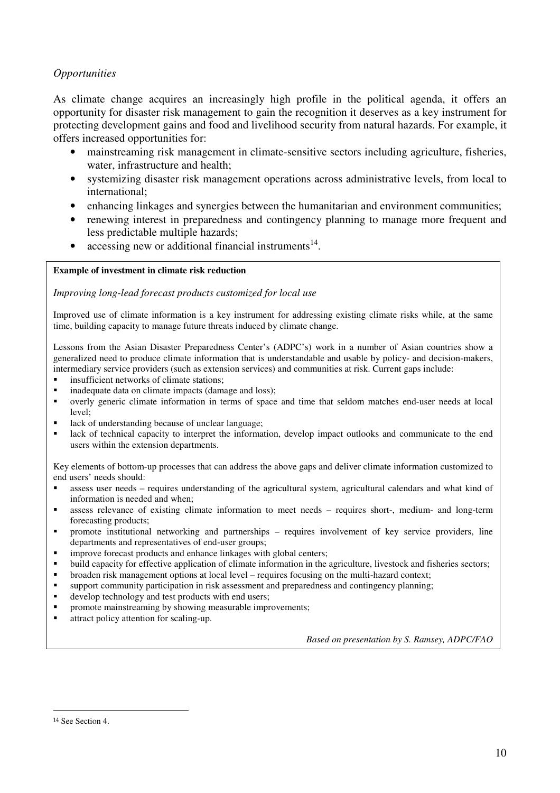## *Opportunities*

As climate change acquires an increasingly high profile in the political agenda, it offers an opportunity for disaster risk management to gain the recognition it deserves as a key instrument for protecting development gains and food and livelihood security from natural hazards. For example, it offers increased opportunities for:

- mainstreaming risk management in climate-sensitive sectors including agriculture, fisheries, water, infrastructure and health;
- systemizing disaster risk management operations across administrative levels, from local to international;
- enhancing linkages and synergies between the humanitarian and environment communities;
- renewing interest in preparedness and contingency planning to manage more frequent and less predictable multiple hazards;
- accessing new or additional financial instruments<sup>14</sup>.

#### **Example of investment in climate risk reduction**

#### *Improving long-lead forecast products customized for local use*

Improved use of climate information is a key instrument for addressing existing climate risks while, at the same time, building capacity to manage future threats induced by climate change.

Lessons from the Asian Disaster Preparedness Center's (ADPC's) work in a number of Asian countries show a generalized need to produce climate information that is understandable and usable by policy- and decision-makers, intermediary service providers (such as extension services) and communities at risk. Current gaps include:

- **i** insufficient networks of climate stations;
- inadequate data on climate impacts (damage and loss);
- overly generic climate information in terms of space and time that seldom matches end-user needs at local level;
- lack of understanding because of unclear language;
- lack of technical capacity to interpret the information, develop impact outlooks and communicate to the end users within the extension departments.

Key elements of bottom-up processes that can address the above gaps and deliver climate information customized to end users' needs should:

- assess user needs requires understanding of the agricultural system, agricultural calendars and what kind of information is needed and when;
- assess relevance of existing climate information to meet needs requires short-, medium- and long-term forecasting products;
- promote institutional networking and partnerships requires involvement of key service providers, line departments and representatives of end-user groups;
- improve forecast products and enhance linkages with global centers;
- build capacity for effective application of climate information in the agriculture, livestock and fisheries sectors;
- broaden risk management options at local level requires focusing on the multi-hazard context;
- support community participation in risk assessment and preparedness and contingency planning;
- develop technology and test products with end users;
- promote mainstreaming by showing measurable improvements;
- attract policy attention for scaling-up.

*Based on presentation by S. Ramsey, ADPC/FAO* 

<sup>14</sup> See Section 4.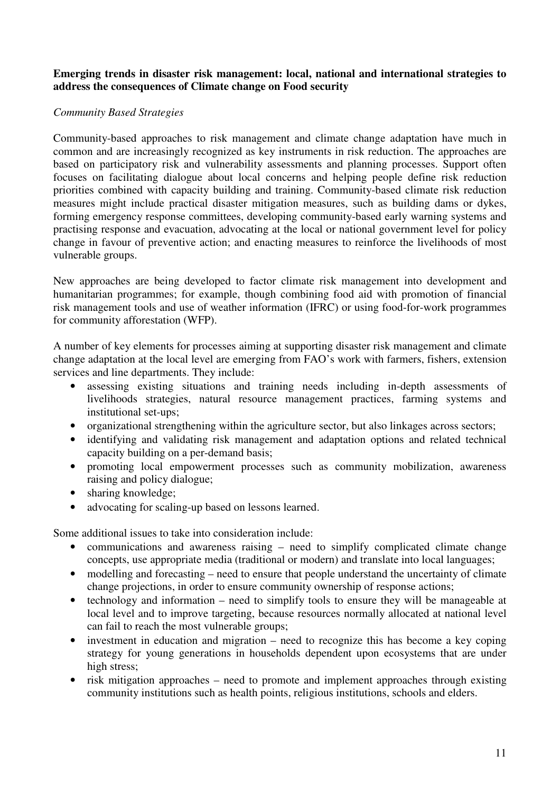## **Emerging trends in disaster risk management: local, national and international strategies to address the consequences of Climate change on Food security**

## *Community Based Strategies*

Community-based approaches to risk management and climate change adaptation have much in common and are increasingly recognized as key instruments in risk reduction. The approaches are based on participatory risk and vulnerability assessments and planning processes. Support often focuses on facilitating dialogue about local concerns and helping people define risk reduction priorities combined with capacity building and training. Community-based climate risk reduction measures might include practical disaster mitigation measures, such as building dams or dykes, forming emergency response committees, developing community-based early warning systems and practising response and evacuation, advocating at the local or national government level for policy change in favour of preventive action; and enacting measures to reinforce the livelihoods of most vulnerable groups.

New approaches are being developed to factor climate risk management into development and humanitarian programmes; for example, though combining food aid with promotion of financial risk management tools and use of weather information (IFRC) or using food-for-work programmes for community afforestation (WFP).

A number of key elements for processes aiming at supporting disaster risk management and climate change adaptation at the local level are emerging from FAO's work with farmers, fishers, extension services and line departments. They include:

- assessing existing situations and training needs including in-depth assessments of livelihoods strategies, natural resource management practices, farming systems and institutional set-ups;
- organizational strengthening within the agriculture sector, but also linkages across sectors;
- identifying and validating risk management and adaptation options and related technical capacity building on a per-demand basis;
- promoting local empowerment processes such as community mobilization, awareness raising and policy dialogue;
- sharing knowledge;
- advocating for scaling-up based on lessons learned.

Some additional issues to take into consideration include:

- communications and awareness raising need to simplify complicated climate change concepts, use appropriate media (traditional or modern) and translate into local languages;
- modelling and forecasting need to ensure that people understand the uncertainty of climate change projections, in order to ensure community ownership of response actions;
- technology and information need to simplify tools to ensure they will be manageable at local level and to improve targeting, because resources normally allocated at national level can fail to reach the most vulnerable groups;
- investment in education and migration need to recognize this has become a key coping strategy for young generations in households dependent upon ecosystems that are under high stress;
- risk mitigation approaches need to promote and implement approaches through existing community institutions such as health points, religious institutions, schools and elders.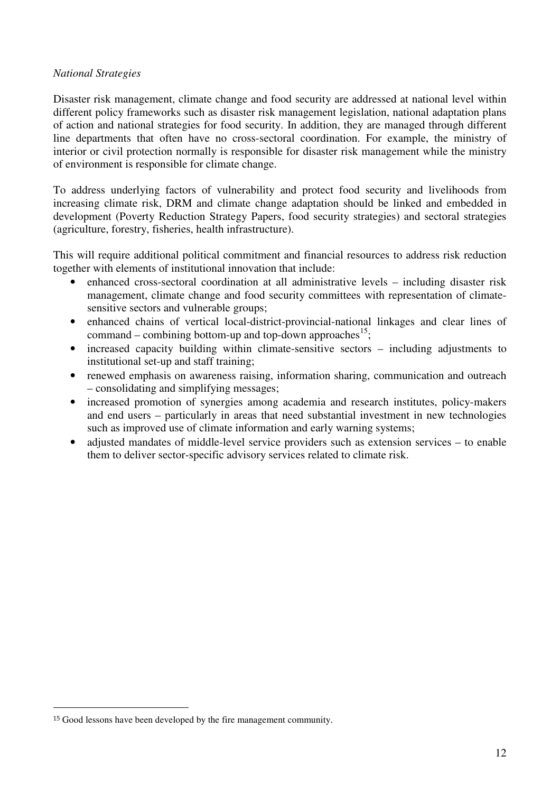#### *National Strategies*

Disaster risk management, climate change and food security are addressed at national level within different policy frameworks such as disaster risk management legislation, national adaptation plans of action and national strategies for food security. In addition, they are managed through different line departments that often have no cross-sectoral coordination. For example, the ministry of interior or civil protection normally is responsible for disaster risk management while the ministry of environment is responsible for climate change.

To address underlying factors of vulnerability and protect food security and livelihoods from increasing climate risk, DRM and climate change adaptation should be linked and embedded in development (Poverty Reduction Strategy Papers, food security strategies) and sectoral strategies (agriculture, forestry, fisheries, health infrastructure).

This will require additional political commitment and financial resources to address risk reduction together with elements of institutional innovation that include:

- enhanced cross-sectoral coordination at all administrative levels including disaster risk management, climate change and food security committees with representation of climatesensitive sectors and vulnerable groups;
- enhanced chains of vertical local-district-provincial-national linkages and clear lines of command – combining bottom-up and top-down approaches<sup>15</sup>;
- increased capacity building within climate-sensitive sectors including adjustments to institutional set-up and staff training;
- renewed emphasis on awareness raising, information sharing, communication and outreach – consolidating and simplifying messages;
- increased promotion of synergies among academia and research institutes, policy-makers and end users – particularly in areas that need substantial investment in new technologies such as improved use of climate information and early warning systems;
- adjusted mandates of middle-level service providers such as extension services to enable them to deliver sector-specific advisory services related to climate risk.

<sup>&</sup>lt;sup>15</sup> Good lessons have been developed by the fire management community.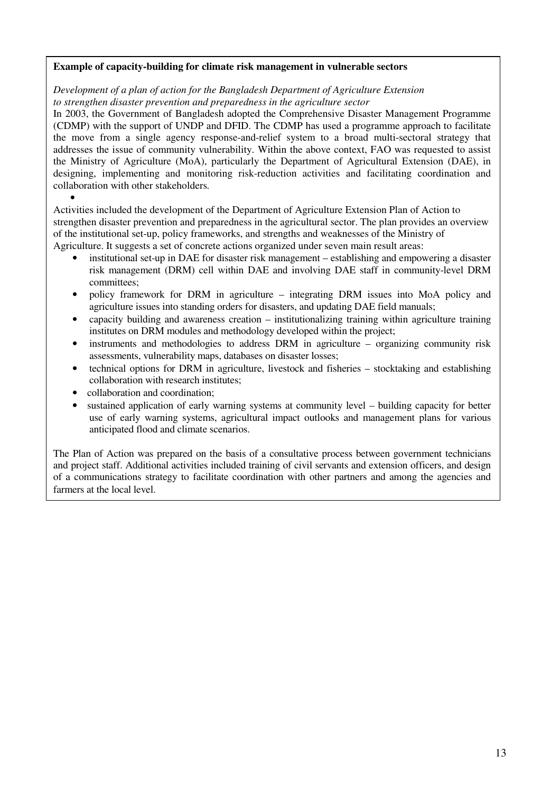#### **Example of capacity-building for climate risk management in vulnerable sectors**

*Development of a plan of action for the Bangladesh Department of Agriculture Extension to strengthen disaster prevention and preparedness in the agriculture sector* 

In 2003, the Government of Bangladesh adopted the Comprehensive Disaster Management Programme (CDMP) with the support of UNDP and DFID. The CDMP has used a programme approach to facilitate the move from a single agency response-and-relief system to a broad multi-sectoral strategy that addresses the issue of community vulnerability. Within the above context, FAO was requested to assist the Ministry of Agriculture (MoA), particularly the Department of Agricultural Extension (DAE), in designing, implementing and monitoring risk-reduction activities and facilitating coordination and collaboration with other stakeholders*.*  •

Activities included the development of the Department of Agriculture Extension Plan of Action to strengthen disaster prevention and preparedness in the agricultural sector. The plan provides an overview of the institutional set-up, policy frameworks, and strengths and weaknesses of the Ministry of Agriculture. It suggests a set of concrete actions organized under seven main result areas:

- institutional set-up in DAE for disaster risk management establishing and empowering a disaster risk management (DRM) cell within DAE and involving DAE staff in community-level DRM committees;
- policy framework for DRM in agriculture integrating DRM issues into MoA policy and agriculture issues into standing orders for disasters, and updating DAE field manuals;
- capacity building and awareness creation institutionalizing training within agriculture training institutes on DRM modules and methodology developed within the project;
- instruments and methodologies to address DRM in agriculture organizing community risk assessments, vulnerability maps, databases on disaster losses;
- technical options for DRM in agriculture, livestock and fisheries stocktaking and establishing collaboration with research institutes;
- collaboration and coordination;
- sustained application of early warning systems at community level building capacity for better use of early warning systems, agricultural impact outlooks and management plans for various anticipated flood and climate scenarios.

The Plan of Action was prepared on the basis of a consultative process between government technicians and project staff. Additional activities included training of civil servants and extension officers, and design of a communications strategy to facilitate coordination with other partners and among the agencies and farmers at the local level.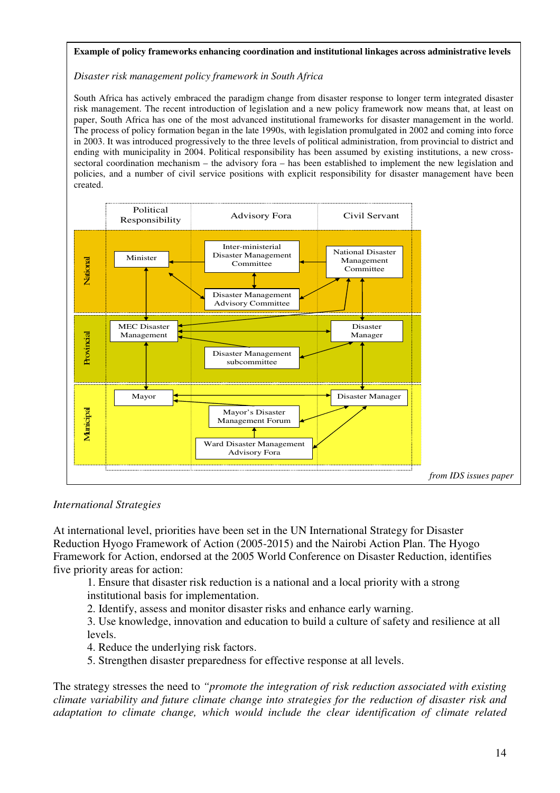#### **Example of policy frameworks enhancing coordination and institutional linkages across administrative levels**

#### *Disaster risk management policy framework in South Africa*

South Africa has actively embraced the paradigm change from disaster response to longer term integrated disaster risk management. The recent introduction of legislation and a new policy framework now means that, at least on paper, South Africa has one of the most advanced institutional frameworks for disaster management in the world. The process of policy formation began in the late 1990s, with legislation promulgated in 2002 and coming into force in 2003. It was introduced progressively to the three levels of political administration, from provincial to district and ending with municipality in 2004. Political responsibility has been assumed by existing institutions, a new crosssectoral coordination mechanism – the advisory fora – has been established to implement the new legislation and policies, and a number of civil service positions with explicit responsibility for disaster management have been created.



#### *International Strategies*

At international level, priorities have been set in the UN International Strategy for Disaster Reduction Hyogo Framework of Action (2005-2015) and the Nairobi Action Plan. The Hyogo Framework for Action, endorsed at the 2005 World Conference on Disaster Reduction, identifies five priority areas for action:

1. Ensure that disaster risk reduction is a national and a local priority with a strong institutional basis for implementation.

2. Identify, assess and monitor disaster risks and enhance early warning.

3. Use knowledge, innovation and education to build a culture of safety and resilience at all levels.

4. Reduce the underlying risk factors.

5. Strengthen disaster preparedness for effective response at all levels.

The strategy stresses the need to *"promote the integration of risk reduction associated with existing climate variability and future climate change into strategies for the reduction of disaster risk and adaptation to climate change, which would include the clear identification of climate related*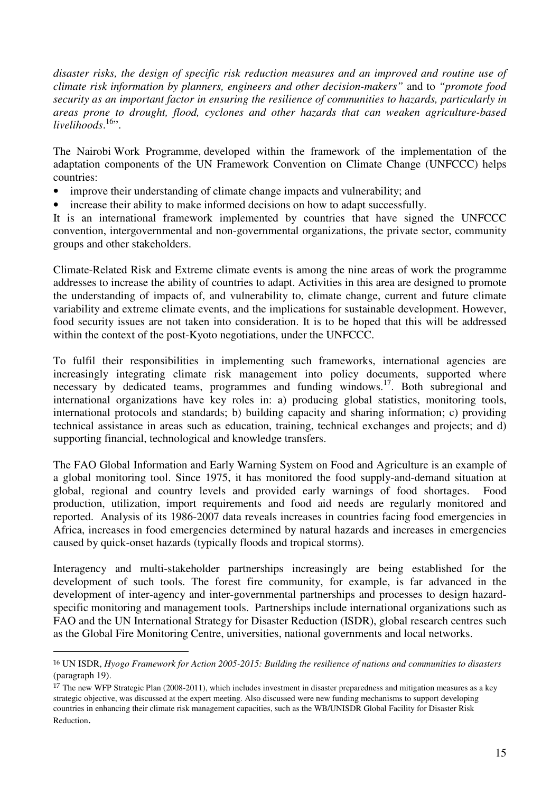*disaster risks, the design of specific risk reduction measures and an improved and routine use of climate risk information by planners, engineers and other decision-makers"* and to *"promote food security as an important factor in ensuring the resilience of communities to hazards, particularly in areas prone to drought, flood, cyclones and other hazards that can weaken agriculture-based*  livelihoods.<sup>16</sup>".

The Nairobi Work Programme, developed within the framework of the implementation of the adaptation components of the UN Framework Convention on Climate Change (UNFCCC) helps countries:

- improve their understanding of climate change impacts and vulnerability; and
- increase their ability to make informed decisions on how to adapt successfully.

It is an international framework implemented by countries that have signed the UNFCCC convention, intergovernmental and non-governmental organizations, the private sector, community groups and other stakeholders.

Climate-Related Risk and Extreme climate events is among the nine areas of work the programme addresses to increase the ability of countries to adapt. Activities in this area are designed to promote the understanding of impacts of, and vulnerability to, climate change, current and future climate variability and extreme climate events, and the implications for sustainable development. However, food security issues are not taken into consideration. It is to be hoped that this will be addressed within the context of the post-Kyoto negotiations, under the UNFCCC.

To fulfil their responsibilities in implementing such frameworks, international agencies are increasingly integrating climate risk management into policy documents, supported where necessary by dedicated teams, programmes and funding windows.<sup>17</sup>. Both subregional and international organizations have key roles in: a) producing global statistics, monitoring tools, international protocols and standards; b) building capacity and sharing information; c) providing technical assistance in areas such as education, training, technical exchanges and projects; and d) supporting financial, technological and knowledge transfers.

The FAO Global Information and Early Warning System on Food and Agriculture is an example of a global monitoring tool. Since 1975, it has monitored the food supply-and-demand situation at global, regional and country levels and provided early warnings of food shortages. Food production, utilization, import requirements and food aid needs are regularly monitored and reported. Analysis of its 1986-2007 data reveals increases in countries facing food emergencies in Africa, increases in food emergencies determined by natural hazards and increases in emergencies caused by quick-onset hazards (typically floods and tropical storms).

Interagency and multi-stakeholder partnerships increasingly are being established for the development of such tools. The forest fire community, for example, is far advanced in the development of inter-agency and inter-governmental partnerships and processes to design hazardspecific monitoring and management tools. Partnerships include international organizations such as FAO and the UN International Strategy for Disaster Reduction (ISDR), global research centres such as the Global Fire Monitoring Centre, universities, national governments and local networks.

<sup>16</sup> UN ISDR, *Hyogo Framework for Action 2005-2015: Building the resilience of nations and communities to disasters* (paragraph 19).

<sup>&</sup>lt;sup>17</sup> The new WFP Strategic Plan (2008-2011), which includes investment in disaster preparedness and mitigation measures as a key strategic objective, was discussed at the expert meeting. Also discussed were new funding mechanisms to support developing countries in enhancing their climate risk management capacities, such as the WB/UNISDR Global Facility for Disaster Risk Reduction.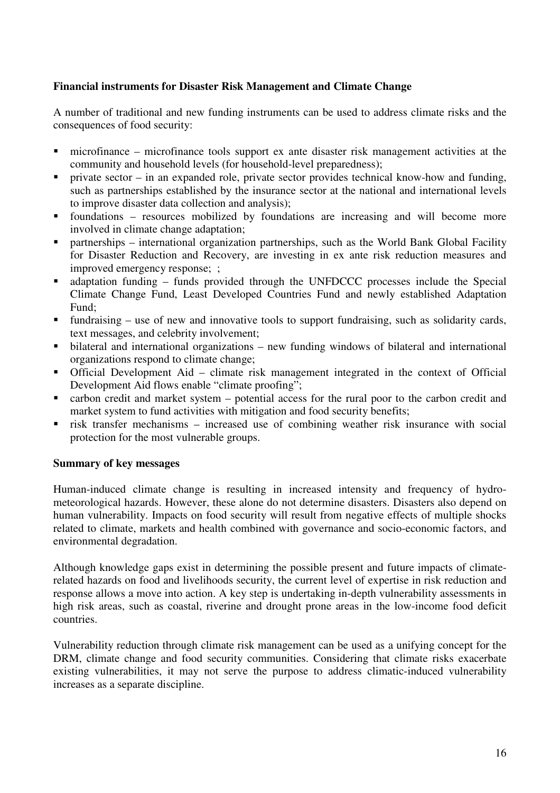## **Financial instruments for Disaster Risk Management and Climate Change**

A number of traditional and new funding instruments can be used to address climate risks and the consequences of food security:

- microfinance microfinance tools support ex ante disaster risk management activities at the community and household levels (for household-level preparedness);
- **Perivate sector in an expanded role, private sector provides technical know-how and funding,** such as partnerships established by the insurance sector at the national and international levels to improve disaster data collection and analysis);
- foundations resources mobilized by foundations are increasing and will become more involved in climate change adaptation;
- partnerships international organization partnerships, such as the World Bank Global Facility for Disaster Reduction and Recovery, are investing in ex ante risk reduction measures and improved emergency response; ;
- adaptation funding funds provided through the UNFDCCC processes include the Special Climate Change Fund, Least Developed Countries Fund and newly established Adaptation Fund;
- fundraising use of new and innovative tools to support fundraising, such as solidarity cards, text messages, and celebrity involvement;
- bilateral and international organizations new funding windows of bilateral and international organizations respond to climate change;
- Official Development Aid climate risk management integrated in the context of Official Development Aid flows enable "climate proofing";
- carbon credit and market system potential access for the rural poor to the carbon credit and market system to fund activities with mitigation and food security benefits;
- risk transfer mechanisms increased use of combining weather risk insurance with social protection for the most vulnerable groups.

## **Summary of key messages**

Human-induced climate change is resulting in increased intensity and frequency of hydrometeorological hazards. However, these alone do not determine disasters. Disasters also depend on human vulnerability. Impacts on food security will result from negative effects of multiple shocks related to climate, markets and health combined with governance and socio-economic factors, and environmental degradation.

Although knowledge gaps exist in determining the possible present and future impacts of climaterelated hazards on food and livelihoods security, the current level of expertise in risk reduction and response allows a move into action. A key step is undertaking in-depth vulnerability assessments in high risk areas, such as coastal, riverine and drought prone areas in the low-income food deficit countries.

Vulnerability reduction through climate risk management can be used as a unifying concept for the DRM, climate change and food security communities. Considering that climate risks exacerbate existing vulnerabilities, it may not serve the purpose to address climatic-induced vulnerability increases as a separate discipline.